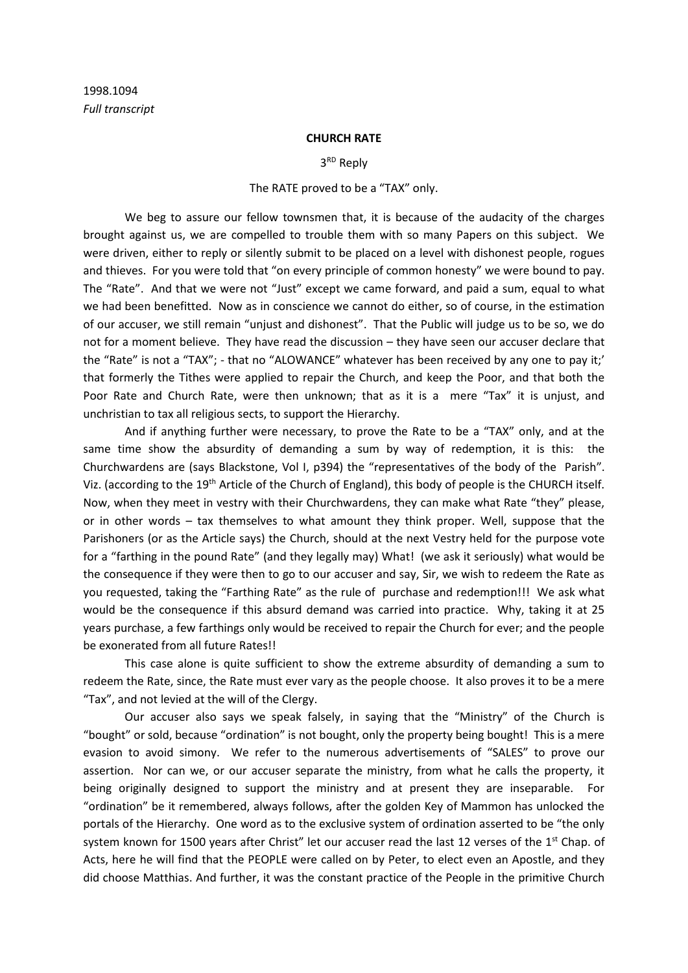## **CHURCH RATE**

3<sup>RD</sup> Reply

## The RATE proved to be a "TAX" only.

We beg to assure our fellow townsmen that, it is because of the audacity of the charges brought against us, we are compelled to trouble them with so many Papers on this subject. We were driven, either to reply or silently submit to be placed on a level with dishonest people, rogues and thieves. For you were told that "on every principle of common honesty" we were bound to pay. The "Rate". And that we were not "Just" except we came forward, and paid a sum, equal to what we had been benefitted. Now as in conscience we cannot do either, so of course, in the estimation of our accuser, we still remain "unjust and dishonest". That the Public will judge us to be so, we do not for a moment believe. They have read the discussion – they have seen our accuser declare that the "Rate" is not a "TAX"; - that no "ALOWANCE" whatever has been received by any one to pay it;' that formerly the Tithes were applied to repair the Church, and keep the Poor, and that both the Poor Rate and Church Rate, were then unknown; that as it is a mere "Tax" it is unjust, and unchristian to tax all religious sects, to support the Hierarchy.

And if anything further were necessary, to prove the Rate to be a "TAX" only, and at the same time show the absurdity of demanding a sum by way of redemption, it is this: the Churchwardens are (says Blackstone, Vol I, p394) the "representatives of the body of the Parish". Viz. (according to the 19<sup>th</sup> Article of the Church of England), this body of people is the CHURCH itself. Now, when they meet in vestry with their Churchwardens, they can make what Rate "they" please, or in other words – tax themselves to what amount they think proper. Well, suppose that the Parishoners (or as the Article says) the Church, should at the next Vestry held for the purpose vote for a "farthing in the pound Rate" (and they legally may) What! (we ask it seriously) what would be the consequence if they were then to go to our accuser and say, Sir, we wish to redeem the Rate as you requested, taking the "Farthing Rate" as the rule of purchase and redemption!!! We ask what would be the consequence if this absurd demand was carried into practice. Why, taking it at 25 years purchase, a few farthings only would be received to repair the Church for ever; and the people be exonerated from all future Rates!!

This case alone is quite sufficient to show the extreme absurdity of demanding a sum to redeem the Rate, since, the Rate must ever vary as the people choose. It also proves it to be a mere "Tax", and not levied at the will of the Clergy.

Our accuser also says we speak falsely, in saying that the "Ministry" of the Church is "bought" or sold, because "ordination" is not bought, only the property being bought! This is a mere evasion to avoid simony. We refer to the numerous advertisements of "SALES" to prove our assertion. Nor can we, or our accuser separate the ministry, from what he calls the property, it being originally designed to support the ministry and at present they are inseparable. For "ordination" be it remembered, always follows, after the golden Key of Mammon has unlocked the portals of the Hierarchy. One word as to the exclusive system of ordination asserted to be "the only system known for 1500 years after Christ" let our accuser read the last 12 verses of the 1<sup>st</sup> Chap. of Acts, here he will find that the PEOPLE were called on by Peter, to elect even an Apostle, and they did choose Matthias. And further, it was the constant practice of the People in the primitive Church